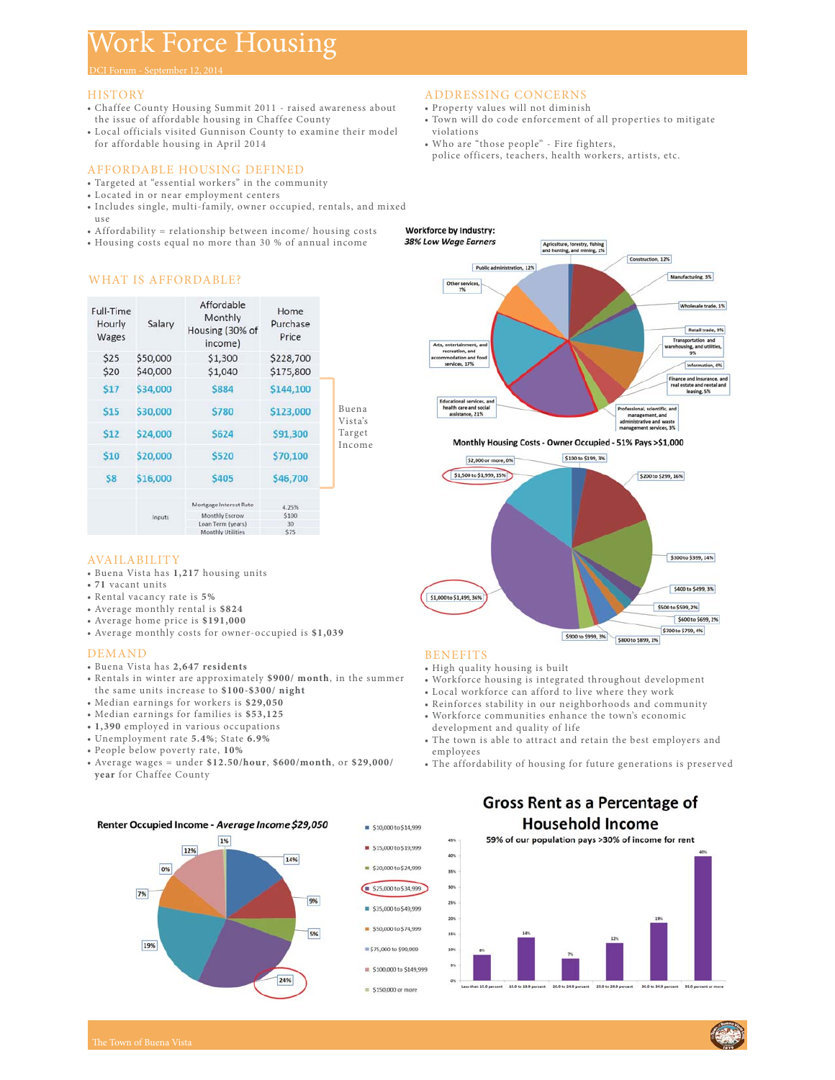# Work Force Housing

DCI Forum - September 12, 2014

## **HISTORY**

- Chaffee County Housing Summit 2011 raised awareness about the issue of affordable housing in Chaffee County
- Local officials visited Gunnison County to examine their model for affordable housing in April 2014

# AFFORDABLE HOUSING DEFINED

- Targeted at "essential workers" in the community
- Located in or near employment centers
- Includes single, multi-family, owner occupied, rentals, and mixed use

Home

- Affordability = relationship between income/ housing costs
- Housing costs equal no more than 30 % of annual income

## ADDRESSING CONCERNS

- Property values will not diminish
- Town will do code enforcement of all properties to mitigate violations
- Who are "those people" Fire fighters, police officers, teachers, health workers, artists, etc.



#### Monthly Housing Costs - Owner Occupied - 51% Pays >\$1,000



# **BENEFITS**

- High quality housing is built
- Workforce housing is integrated throughout development
- Local workforce can afford to live where they work
- Reinforces stability in our neighborhoods and community • Workforce communities enhance the town's economic
- development and quality of life
- The town is able to attract and retain the best employers and employees
- The affordability of housing for future generations is preserved



WHAT IS AFFORDABLE?

| nourly<br>Wages | <b>J</b> didiy | Housing (30% of<br>income) | <b>Purchase</b><br>Price |                                      |
|-----------------|----------------|----------------------------|--------------------------|--------------------------------------|
| \$25            | \$50,000       | \$1,300                    | \$228,700                | Buena<br>Vista's<br>Target<br>Income |
| \$20            | \$40,000       | \$1,040                    | \$175,800                |                                      |
| \$17            | \$34,000       | \$884                      | \$144,100                |                                      |
| \$15            | \$30,000       | \$780                      | \$123,000                |                                      |
| \$12            | \$24,000       | <b>\$624</b>               | \$91,300                 |                                      |
| \$10            | \$20,000       | \$520                      | \$70,100                 |                                      |
| \$8             | \$16,000       | \$405                      | \$46,700                 |                                      |
|                 | Inputs         | Mortgage Interest Rate     | 4.25%                    |                                      |
|                 |                | Monthly Escrow             | \$100                    |                                      |
|                 |                | Loan Term (years)          | 30                       |                                      |
|                 |                | Monthly Utilities          | \$75                     |                                      |

## AVAILABILITY

- Buena Vista has **1,217** housing units
- **71** vacant units
- Rental vacancy rate is **5%**
- Average monthly rental is **\$824**
- Average home price is **\$191,000**
- Average monthly costs for owner-occupied is **\$1,039**

#### DEMAND

- Buena Vista has **2,647 residents**
- Rentals in winter are approximately **\$900/ month**, in the summer the same units increase to **\$100-\$300/ night**
- Median earnings for workers is **\$29,050**
- Median earnings for families is **\$53,125**
- **1,390** employed in various occupations
- Unemployment rate **5.4%**; State **6.9%**
- People below poverty rate, **10%**
- Average wages = under **\$12.50/hour**, **\$600/month**, or **\$29,000/ year** for Chaffee County



# **Gross Rent as a Percentage of Household Income**